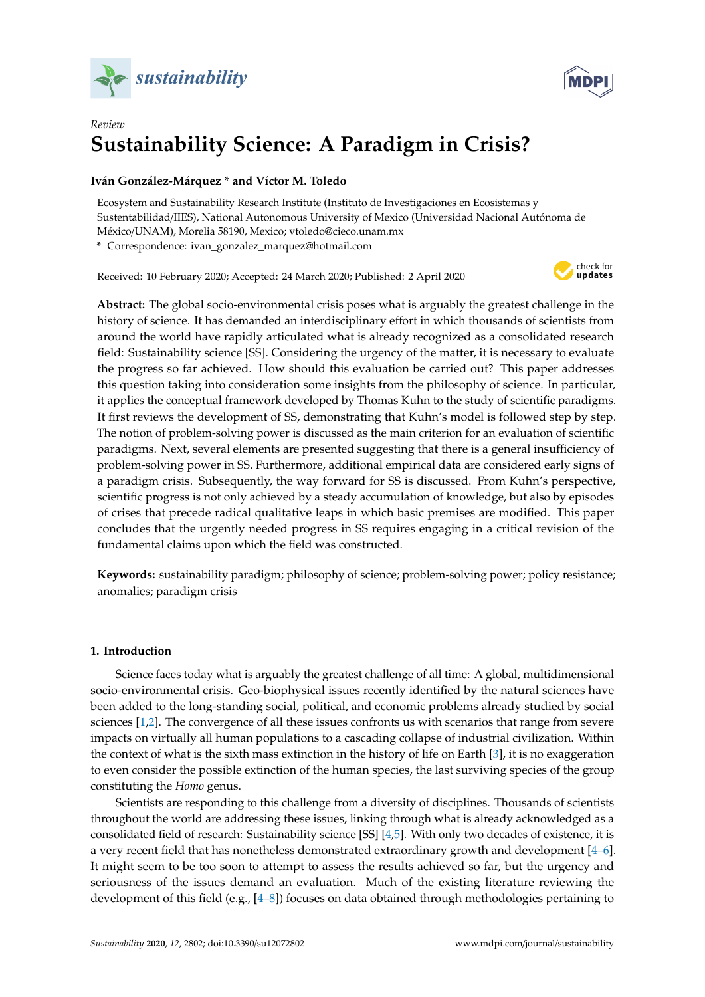



# *Review* **Sustainability Science: A Paradigm in Crisis?**

# **Iván González-Márquez \* and Víctor M. Toledo**

Ecosystem and Sustainability Research Institute (Instituto de Investigaciones en Ecosistemas y Sustentabilidad/IIES), National Autonomous University of Mexico (Universidad Nacional Autónoma de México/UNAM), Morelia 58190, Mexico; vtoledo@cieco.unam.mx

**\*** Correspondence: ivan\_gonzalez\_marquez@hotmail.com

Received: 10 February 2020; Accepted: 24 March 2020; Published: 2 April 2020



**Abstract:** The global socio-environmental crisis poses what is arguably the greatest challenge in the history of science. It has demanded an interdisciplinary effort in which thousands of scientists from around the world have rapidly articulated what is already recognized as a consolidated research field: Sustainability science [SS]. Considering the urgency of the matter, it is necessary to evaluate the progress so far achieved. How should this evaluation be carried out? This paper addresses this question taking into consideration some insights from the philosophy of science. In particular, it applies the conceptual framework developed by Thomas Kuhn to the study of scientific paradigms. It first reviews the development of SS, demonstrating that Kuhn's model is followed step by step. The notion of problem-solving power is discussed as the main criterion for an evaluation of scientific paradigms. Next, several elements are presented suggesting that there is a general insufficiency of problem-solving power in SS. Furthermore, additional empirical data are considered early signs of a paradigm crisis. Subsequently, the way forward for SS is discussed. From Kuhn's perspective, scientific progress is not only achieved by a steady accumulation of knowledge, but also by episodes of crises that precede radical qualitative leaps in which basic premises are modified. This paper concludes that the urgently needed progress in SS requires engaging in a critical revision of the fundamental claims upon which the field was constructed.

**Keywords:** sustainability paradigm; philosophy of science; problem-solving power; policy resistance; anomalies; paradigm crisis

## **1. Introduction**

Science faces today what is arguably the greatest challenge of all time: A global, multidimensional socio-environmental crisis. Geo-biophysical issues recently identified by the natural sciences have been added to the long-standing social, political, and economic problems already studied by social sciences [\[1,](#page-14-0)[2\]](#page-14-1). The convergence of all these issues confronts us with scenarios that range from severe impacts on virtually all human populations to a cascading collapse of industrial civilization. Within the context of what is the sixth mass extinction in the history of life on Earth [\[3\]](#page-14-2), it is no exaggeration to even consider the possible extinction of the human species, the last surviving species of the group constituting the *Homo* genus.

Scientists are responding to this challenge from a diversity of disciplines. Thousands of scientists throughout the world are addressing these issues, linking through what is already acknowledged as a consolidated field of research: Sustainability science [SS] [\[4,](#page-14-3)[5\]](#page-14-4). With only two decades of existence, it is a very recent field that has nonetheless demonstrated extraordinary growth and development [\[4–](#page-14-3)[6\]](#page-14-5). It might seem to be too soon to attempt to assess the results achieved so far, but the urgency and seriousness of the issues demand an evaluation. Much of the existing literature reviewing the development of this field (e.g., [\[4–](#page-14-3)[8\]](#page-14-6)) focuses on data obtained through methodologies pertaining to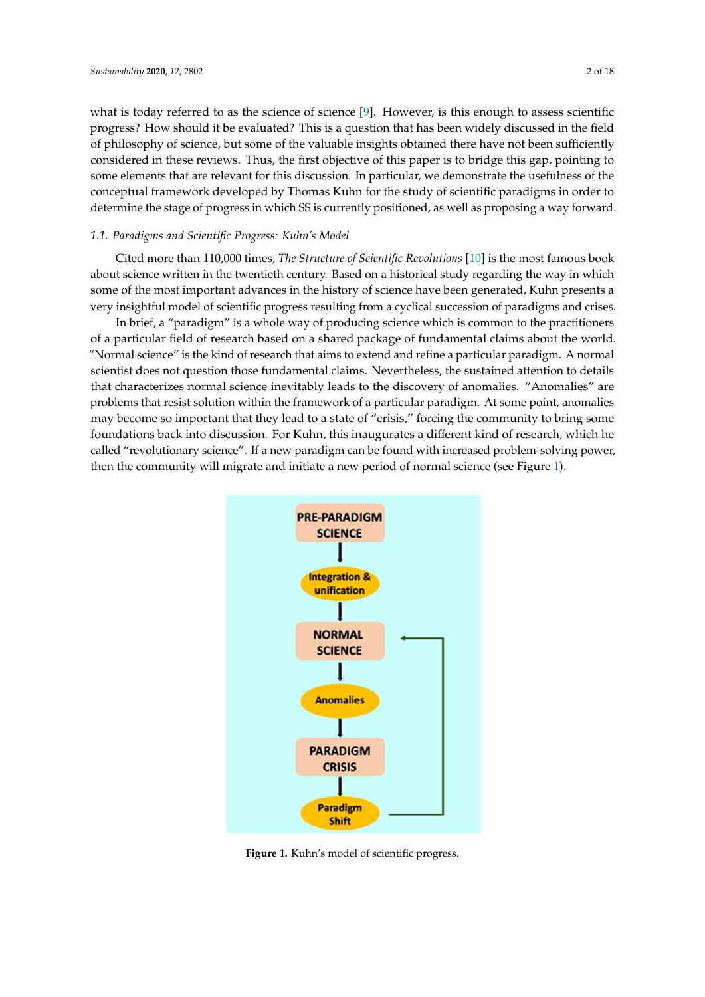what is today referred to as the science of science  $[9]$ . However, is this enough to assess scientific progress? How should it be evaluated? This is a question that has been widely discussed in the field of philosophy of science, but some of the valuable insights obtained there have not been sufficiently considered in these reviews. Thus, the first objective of this paper is to bridge this gap, pointing to some elements that are relevant for this discussion. In particular, we demonstrate the usefulness of the conceptual framework developed by Thomas Kuhn for the study of scientific paradigms in order to determine the stage of progress in which SS is currently positioned, as well as proposing a way forward. *1.1. Paradigms and Scientific Progress: Kuhn's Model*

# 1.1. Paradigms and Scientific Progress: Kuhn's Model

Cited more than 110,000 times, *The Structure of Scientific Revolutions* [\[10\]](#page-14-8) is the most famous book about science written in the twentieth century. Based on a historical study regarding the way in which<br>Colice progression of paradigms and paradigms and paradigms and paradigms and paradigms and paradigms and para some of the most important advances in the history of science have been generated, Kuhn presents a very insightful model of scientific progress resulting from a cyclical succession of paradigms and crises.<br>
In brief, a whole way of producing science which is common to the product which is common to the product which about science written in the twentieth century. Based on a historical study regarding the which which which which which was in which which we have  $\alpha$ streamer than 110,000 times, *The structure of settingue* recommons [10] is the most ramous book

In brief, a "paradigm" is a whole way of producing science which is common to the practitioners of a particular field of research based on a shared package of fundamental claims about the world.<br>"A particular field of research based on a shared package of fundamental claims about the world. "Normal science" is the kind of research that aims to extend and refine a particular paradigm. A normal scientist does not question those fundamental claims. Nevertheless, the sustained attention to details that characterizes normal science inevitably leads to the discovery of anomalies. "Anomalies" are problems that resist solution with the framework of a particular paradigm. problems that resist solution within the framework of a particular paradigm. At some point, anomalies may become so important that they lead to a state of "crisis," forcing the community to bring some foundations back into discussion. For Kuhn, this inaugurates a different kind of research, which he called "revolutionary science". If a new paradigm can be found with increased problem-solving power,<br> then the community will migrate and initiate a new period of normal science (see Figure [1\)](#page-1-0).

<span id="page-1-0"></span>

**Figure 1.** Kuhn's model of scientific progress. **Figure 1.** Kuhn's model of scientific progress.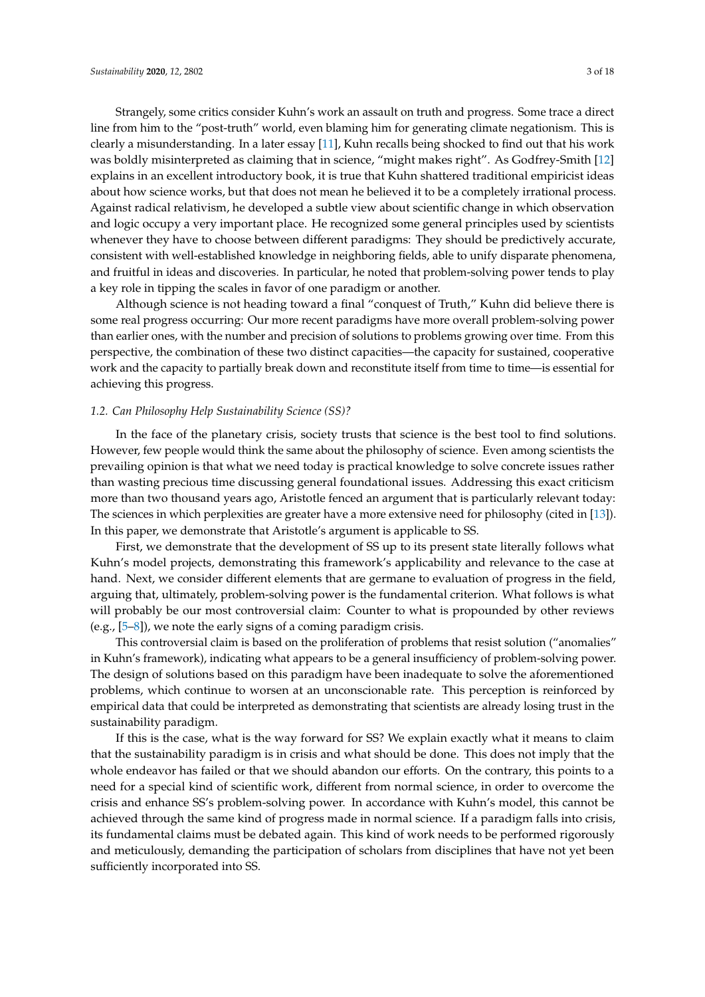Strangely, some critics consider Kuhn's work an assault on truth and progress. Some trace a direct line from him to the "post-truth" world, even blaming him for generating climate negationism. This is clearly a misunderstanding. In a later essay [\[11\]](#page-14-9), Kuhn recalls being shocked to find out that his work was boldly misinterpreted as claiming that in science, "might makes right". As Godfrey-Smith [\[12\]](#page-14-10) explains in an excellent introductory book, it is true that Kuhn shattered traditional empiricist ideas about how science works, but that does not mean he believed it to be a completely irrational process. Against radical relativism, he developed a subtle view about scientific change in which observation and logic occupy a very important place. He recognized some general principles used by scientists whenever they have to choose between different paradigms: They should be predictively accurate, consistent with well-established knowledge in neighboring fields, able to unify disparate phenomena, and fruitful in ideas and discoveries. In particular, he noted that problem-solving power tends to play a key role in tipping the scales in favor of one paradigm or another.

Although science is not heading toward a final "conquest of Truth," Kuhn did believe there is some real progress occurring: Our more recent paradigms have more overall problem-solving power than earlier ones, with the number and precision of solutions to problems growing over time. From this perspective, the combination of these two distinct capacities—the capacity for sustained, cooperative work and the capacity to partially break down and reconstitute itself from time to time—is essential for achieving this progress.

#### *1.2. Can Philosophy Help Sustainability Science (SS)?*

In the face of the planetary crisis, society trusts that science is the best tool to find solutions. However, few people would think the same about the philosophy of science. Even among scientists the prevailing opinion is that what we need today is practical knowledge to solve concrete issues rather than wasting precious time discussing general foundational issues. Addressing this exact criticism more than two thousand years ago, Aristotle fenced an argument that is particularly relevant today: The sciences in which perplexities are greater have a more extensive need for philosophy (cited in [\[13\]](#page-14-11)). In this paper, we demonstrate that Aristotle's argument is applicable to SS.

First, we demonstrate that the development of SS up to its present state literally follows what Kuhn's model projects, demonstrating this framework's applicability and relevance to the case at hand. Next, we consider different elements that are germane to evaluation of progress in the field, arguing that, ultimately, problem-solving power is the fundamental criterion. What follows is what will probably be our most controversial claim: Counter to what is propounded by other reviews (e.g.,  $[5-8]$  $[5-8]$ ), we note the early signs of a coming paradigm crisis.

This controversial claim is based on the proliferation of problems that resist solution ("anomalies" in Kuhn's framework), indicating what appears to be a general insufficiency of problem-solving power. The design of solutions based on this paradigm have been inadequate to solve the aforementioned problems, which continue to worsen at an unconscionable rate. This perception is reinforced by empirical data that could be interpreted as demonstrating that scientists are already losing trust in the sustainability paradigm.

If this is the case, what is the way forward for SS? We explain exactly what it means to claim that the sustainability paradigm is in crisis and what should be done. This does not imply that the whole endeavor has failed or that we should abandon our efforts. On the contrary, this points to a need for a special kind of scientific work, different from normal science, in order to overcome the crisis and enhance SS's problem-solving power. In accordance with Kuhn's model, this cannot be achieved through the same kind of progress made in normal science. If a paradigm falls into crisis, its fundamental claims must be debated again. This kind of work needs to be performed rigorously and meticulously, demanding the participation of scholars from disciplines that have not yet been sufficiently incorporated into SS.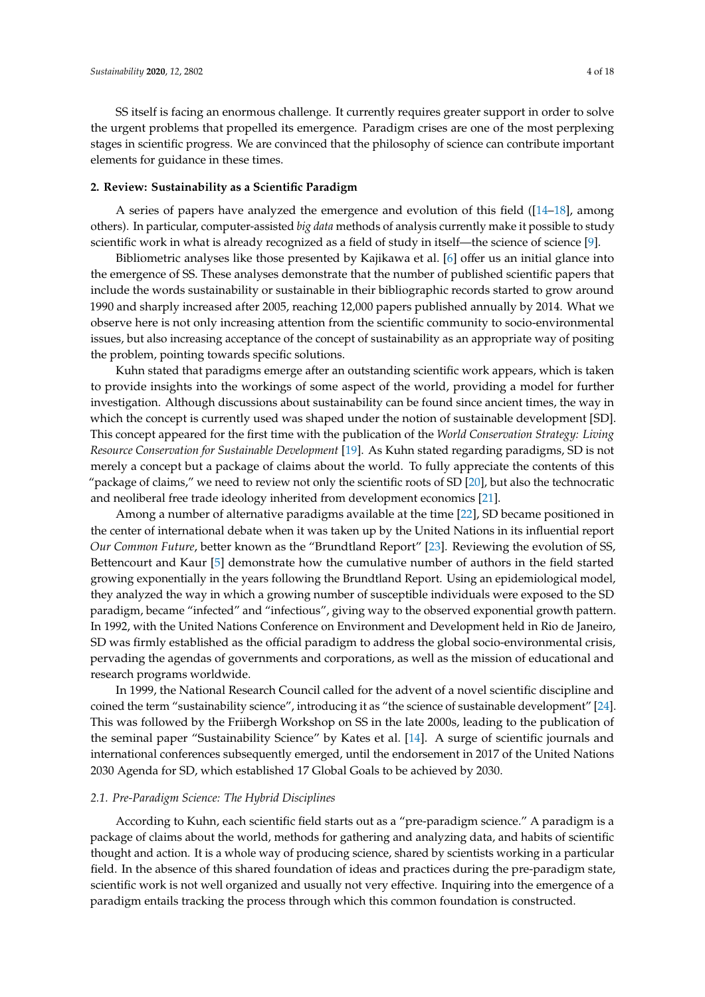SS itself is facing an enormous challenge. It currently requires greater support in order to solve the urgent problems that propelled its emergence. Paradigm crises are one of the most perplexing stages in scientific progress. We are convinced that the philosophy of science can contribute important elements for guidance in these times.

#### **2. Review: Sustainability as a Scientific Paradigm**

A series of papers have analyzed the emergence and evolution of this field ([\[14–](#page-14-12)[18\]](#page-14-13), among others). In particular, computer-assisted *big data* methods of analysis currently make it possible to study scientific work in what is already recognized as a field of study in itself—the science of science [\[9\]](#page-14-7).

Bibliometric analyses like those presented by Kajikawa et al. [\[6\]](#page-14-5) offer us an initial glance into the emergence of SS. These analyses demonstrate that the number of published scientific papers that include the words sustainability or sustainable in their bibliographic records started to grow around 1990 and sharply increased after 2005, reaching 12,000 papers published annually by 2014. What we observe here is not only increasing attention from the scientific community to socio-environmental issues, but also increasing acceptance of the concept of sustainability as an appropriate way of positing the problem, pointing towards specific solutions.

Kuhn stated that paradigms emerge after an outstanding scientific work appears, which is taken to provide insights into the workings of some aspect of the world, providing a model for further investigation. Although discussions about sustainability can be found since ancient times, the way in which the concept is currently used was shaped under the notion of sustainable development [SD]. This concept appeared for the first time with the publication of the *World Conservation Strategy: Living Resource Conservation for Sustainable Development* [\[19\]](#page-14-14). As Kuhn stated regarding paradigms, SD is not merely a concept but a package of claims about the world. To fully appreciate the contents of this "package of claims," we need to review not only the scientific roots of SD [\[20\]](#page-15-0), but also the technocratic and neoliberal free trade ideology inherited from development economics [\[21\]](#page-15-1).

Among a number of alternative paradigms available at the time [\[22\]](#page-15-2), SD became positioned in the center of international debate when it was taken up by the United Nations in its influential report *Our Common Future*, better known as the "Brundtland Report" [\[23\]](#page-15-3). Reviewing the evolution of SS, Bettencourt and Kaur [\[5\]](#page-14-4) demonstrate how the cumulative number of authors in the field started growing exponentially in the years following the Brundtland Report. Using an epidemiological model, they analyzed the way in which a growing number of susceptible individuals were exposed to the SD paradigm, became "infected" and "infectious", giving way to the observed exponential growth pattern. In 1992, with the United Nations Conference on Environment and Development held in Rio de Janeiro, SD was firmly established as the official paradigm to address the global socio-environmental crisis, pervading the agendas of governments and corporations, as well as the mission of educational and research programs worldwide.

In 1999, the National Research Council called for the advent of a novel scientific discipline and coined the term "sustainability science", introducing it as "the science of sustainable development" [\[24\]](#page-15-4). This was followed by the Friibergh Workshop on SS in the late 2000s, leading to the publication of the seminal paper "Sustainability Science" by Kates et al. [\[14\]](#page-14-12). A surge of scientific journals and international conferences subsequently emerged, until the endorsement in 2017 of the United Nations 2030 Agenda for SD, which established 17 Global Goals to be achieved by 2030.

#### *2.1. Pre-Paradigm Science: The Hybrid Disciplines*

According to Kuhn, each scientific field starts out as a "pre-paradigm science." A paradigm is a package of claims about the world, methods for gathering and analyzing data, and habits of scientific thought and action. It is a whole way of producing science, shared by scientists working in a particular field. In the absence of this shared foundation of ideas and practices during the pre-paradigm state, scientific work is not well organized and usually not very effective. Inquiring into the emergence of a paradigm entails tracking the process through which this common foundation is constructed.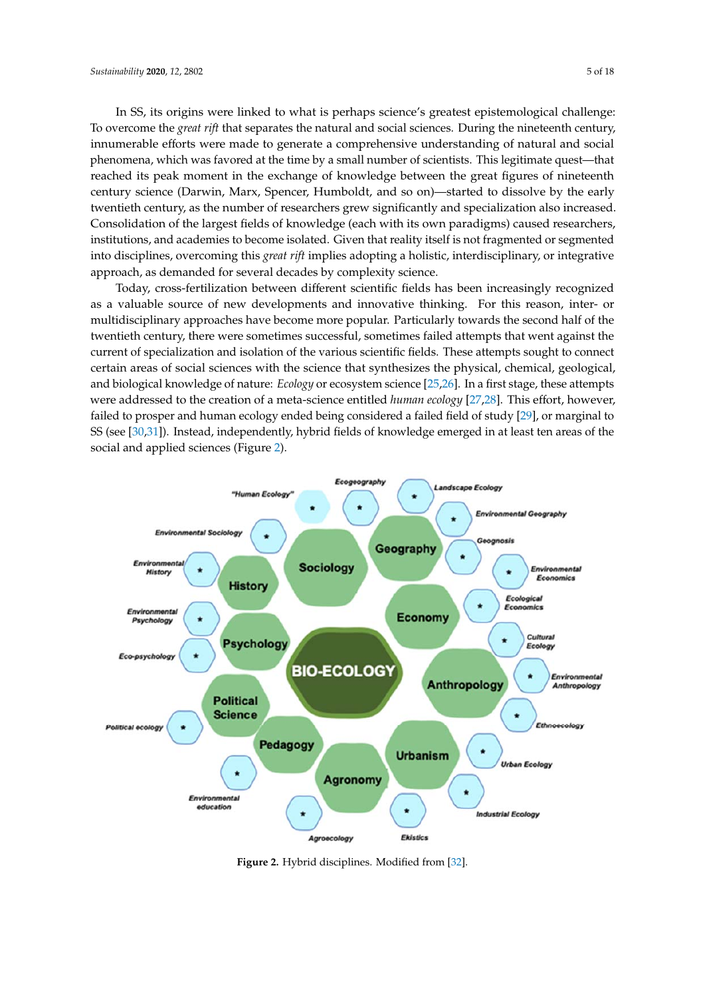In SS, its origins were linked to what is perhaps science's greatest epistemological challenge: To overcome the *great rift* that separates the natural and social sciences. During the nineteenth century, innumerable efforts were made to generate a comprehensive understanding of natural and social phenomena, which was favored at the time by a small number of scientists. This legitimate quest—that reached its peak moment in the exchange of knowledge between the great figures of nineteenth century science (Darwin, Marx, Spencer, Humboldt, and so on)—started to dissolve by the early twentieth century, as the number of researchers grew significantly and specialization also increased. Consolidation of the largest fields of knowledge (each with its own paradigms) caused researchers, institutions, and academies to become isolated. Given that reality itself is not fragmented or segmented into disciplines, overcoming this *great rift* implies adopting a holistic, interdisciplinary, or integrative approach, as demanded for several decades by complexity science.

Today, cross-fertilization between different scientific fields has been increasingly recognized as a valuable source of new developments and innovative thinking. For this reason, inter- or multidisciplinary approaches have become more popular. Particularly towards the second half of the twentieth century, there were sometimes successful, sometimes failed attempts that went against the current of specialization and isolation of the various scientific fields. These attempts sought to connect certain areas of social sciences with the science that synthesizes the physical, chemical, geological, and biological knowledge of nature: *Ecology* or ecosystem science [\[25](#page-15-5)[,26\]](#page-15-6). In a first stage, these attempts were addressed to the creation of a meta-science entitled *human ecology* [\[27,](#page-15-7)[28\]](#page-15-8). This effort, however, failed to prosper and human ecology ended being considered a failed field of study [\[29\]](#page-15-9), or marginal to SS (see [\[30,](#page-15-10)[31\]](#page-15-11)). Instead, independently, hybrid fields of knowledge emerged in at least ten areas of the social and applied sciences (Figure [2\)](#page-4-0).

<span id="page-4-0"></span>

**Figure 2.** Hybrid disciplines. Modified from [32]. **Figure 2.** Hybrid disciplines. Modified from [\[32\]](#page-15-12).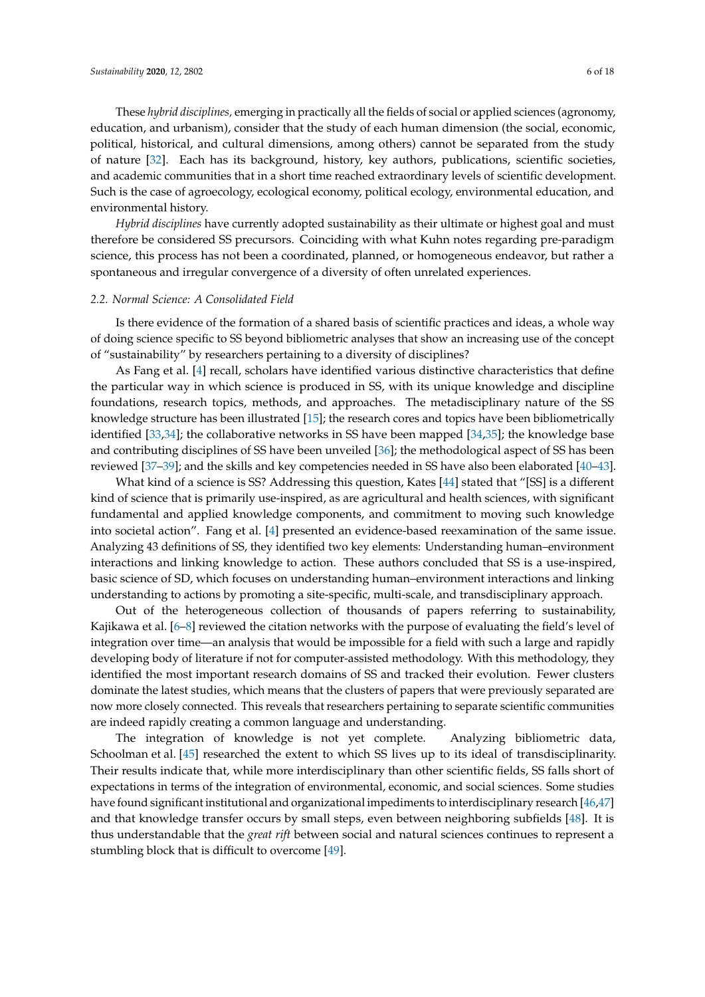These *hybrid disciplines,* emerging in practically all the fields of social or applied sciences (agronomy, education, and urbanism), consider that the study of each human dimension (the social, economic, political, historical, and cultural dimensions, among others) cannot be separated from the study of nature [\[32\]](#page-15-12). Each has its background, history, key authors, publications, scientific societies, and academic communities that in a short time reached extraordinary levels of scientific development. Such is the case of agroecology, ecological economy, political ecology, environmental education, and environmental history.

*Hybrid disciplines* have currently adopted sustainability as their ultimate or highest goal and must therefore be considered SS precursors. Coinciding with what Kuhn notes regarding pre-paradigm science, this process has not been a coordinated, planned, or homogeneous endeavor, but rather a spontaneous and irregular convergence of a diversity of often unrelated experiences.

#### *2.2. Normal Science: A Consolidated Field*

Is there evidence of the formation of a shared basis of scientific practices and ideas, a whole way of doing science specific to SS beyond bibliometric analyses that show an increasing use of the concept of "sustainability" by researchers pertaining to a diversity of disciplines?

As Fang et al. [\[4\]](#page-14-3) recall, scholars have identified various distinctive characteristics that define the particular way in which science is produced in SS, with its unique knowledge and discipline foundations, research topics, methods, and approaches. The metadisciplinary nature of the SS knowledge structure has been illustrated [\[15\]](#page-14-15); the research cores and topics have been bibliometrically identified [\[33,](#page-15-13)[34\]](#page-15-14); the collaborative networks in SS have been mapped [\[34,](#page-15-14)[35\]](#page-15-15); the knowledge base and contributing disciplines of SS have been unveiled [\[36\]](#page-15-16); the methodological aspect of SS has been reviewed [\[37–](#page-15-17)[39\]](#page-15-18); and the skills and key competencies needed in SS have also been elaborated [\[40–](#page-15-19)[43\]](#page-15-20).

What kind of a science is SS? Addressing this question, Kates [\[44\]](#page-15-21) stated that "[SS] is a different kind of science that is primarily use-inspired, as are agricultural and health sciences, with significant fundamental and applied knowledge components, and commitment to moving such knowledge into societal action". Fang et al. [\[4\]](#page-14-3) presented an evidence-based reexamination of the same issue. Analyzing 43 definitions of SS, they identified two key elements: Understanding human–environment interactions and linking knowledge to action. These authors concluded that SS is a use-inspired, basic science of SD, which focuses on understanding human–environment interactions and linking understanding to actions by promoting a site-specific, multi-scale, and transdisciplinary approach.

Out of the heterogeneous collection of thousands of papers referring to sustainability, Kajikawa et al. [\[6–](#page-14-5)[8\]](#page-14-6) reviewed the citation networks with the purpose of evaluating the field's level of integration over time—an analysis that would be impossible for a field with such a large and rapidly developing body of literature if not for computer-assisted methodology. With this methodology, they identified the most important research domains of SS and tracked their evolution. Fewer clusters dominate the latest studies, which means that the clusters of papers that were previously separated are now more closely connected. This reveals that researchers pertaining to separate scientific communities are indeed rapidly creating a common language and understanding.

The integration of knowledge is not yet complete. Analyzing bibliometric data, Schoolman et al. [\[45\]](#page-15-22) researched the extent to which SS lives up to its ideal of transdisciplinarity. Their results indicate that, while more interdisciplinary than other scientific fields, SS falls short of expectations in terms of the integration of environmental, economic, and social sciences. Some studies have found significant institutional and organizational impediments to interdisciplinary research [\[46,](#page-15-23)[47\]](#page-15-24) and that knowledge transfer occurs by small steps, even between neighboring subfields [\[48\]](#page-16-0). It is thus understandable that the *great rift* between social and natural sciences continues to represent a stumbling block that is difficult to overcome [\[49\]](#page-16-1).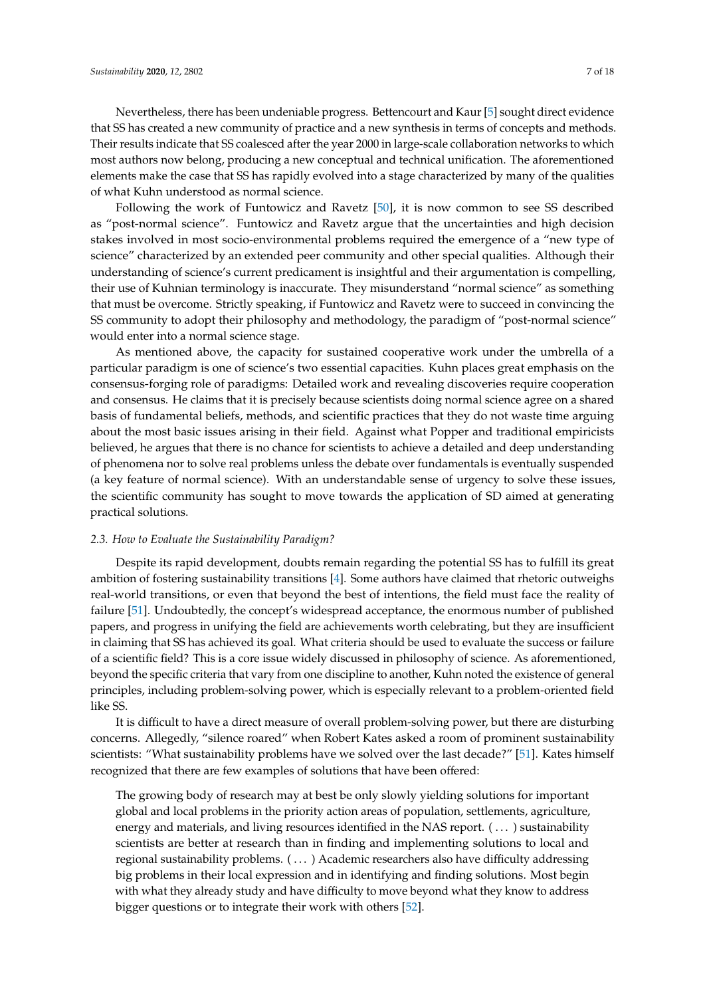Nevertheless, there has been undeniable progress. Bettencourt and Kaur [\[5\]](#page-14-4) sought direct evidence that SS has created a new community of practice and a new synthesis in terms of concepts and methods. Their results indicate that SS coalesced after the year 2000 in large-scale collaboration networks to which most authors now belong, producing a new conceptual and technical unification. The aforementioned elements make the case that SS has rapidly evolved into a stage characterized by many of the qualities of what Kuhn understood as normal science.

Following the work of Funtowicz and Ravetz [\[50\]](#page-16-2), it is now common to see SS described as "post-normal science". Funtowicz and Ravetz argue that the uncertainties and high decision stakes involved in most socio-environmental problems required the emergence of a "new type of science" characterized by an extended peer community and other special qualities. Although their understanding of science's current predicament is insightful and their argumentation is compelling, their use of Kuhnian terminology is inaccurate. They misunderstand "normal science" as something that must be overcome. Strictly speaking, if Funtowicz and Ravetz were to succeed in convincing the SS community to adopt their philosophy and methodology, the paradigm of "post-normal science" would enter into a normal science stage.

As mentioned above, the capacity for sustained cooperative work under the umbrella of a particular paradigm is one of science's two essential capacities. Kuhn places great emphasis on the consensus-forging role of paradigms: Detailed work and revealing discoveries require cooperation and consensus. He claims that it is precisely because scientists doing normal science agree on a shared basis of fundamental beliefs, methods, and scientific practices that they do not waste time arguing about the most basic issues arising in their field. Against what Popper and traditional empiricists believed, he argues that there is no chance for scientists to achieve a detailed and deep understanding of phenomena nor to solve real problems unless the debate over fundamentals is eventually suspended (a key feature of normal science). With an understandable sense of urgency to solve these issues, the scientific community has sought to move towards the application of SD aimed at generating practical solutions.

#### *2.3. How to Evaluate the Sustainability Paradigm?*

Despite its rapid development, doubts remain regarding the potential SS has to fulfill its great ambition of fostering sustainability transitions [\[4\]](#page-14-3). Some authors have claimed that rhetoric outweighs real-world transitions, or even that beyond the best of intentions, the field must face the reality of failure [\[51\]](#page-16-3). Undoubtedly, the concept's widespread acceptance, the enormous number of published papers, and progress in unifying the field are achievements worth celebrating, but they are insufficient in claiming that SS has achieved its goal. What criteria should be used to evaluate the success or failure of a scientific field? This is a core issue widely discussed in philosophy of science. As aforementioned, beyond the specific criteria that vary from one discipline to another, Kuhn noted the existence of general principles, including problem-solving power, which is especially relevant to a problem-oriented field like SS.

It is difficult to have a direct measure of overall problem-solving power, but there are disturbing concerns. Allegedly, "silence roared" when Robert Kates asked a room of prominent sustainability scientists: "What sustainability problems have we solved over the last decade?" [\[51\]](#page-16-3). Kates himself recognized that there are few examples of solutions that have been offered:

The growing body of research may at best be only slowly yielding solutions for important global and local problems in the priority action areas of population, settlements, agriculture, energy and materials, and living resources identified in the NAS report. ( . . . ) sustainability scientists are better at research than in finding and implementing solutions to local and regional sustainability problems. ( . . . ) Academic researchers also have difficulty addressing big problems in their local expression and in identifying and finding solutions. Most begin with what they already study and have difficulty to move beyond what they know to address bigger questions or to integrate their work with others [\[52\]](#page-16-4).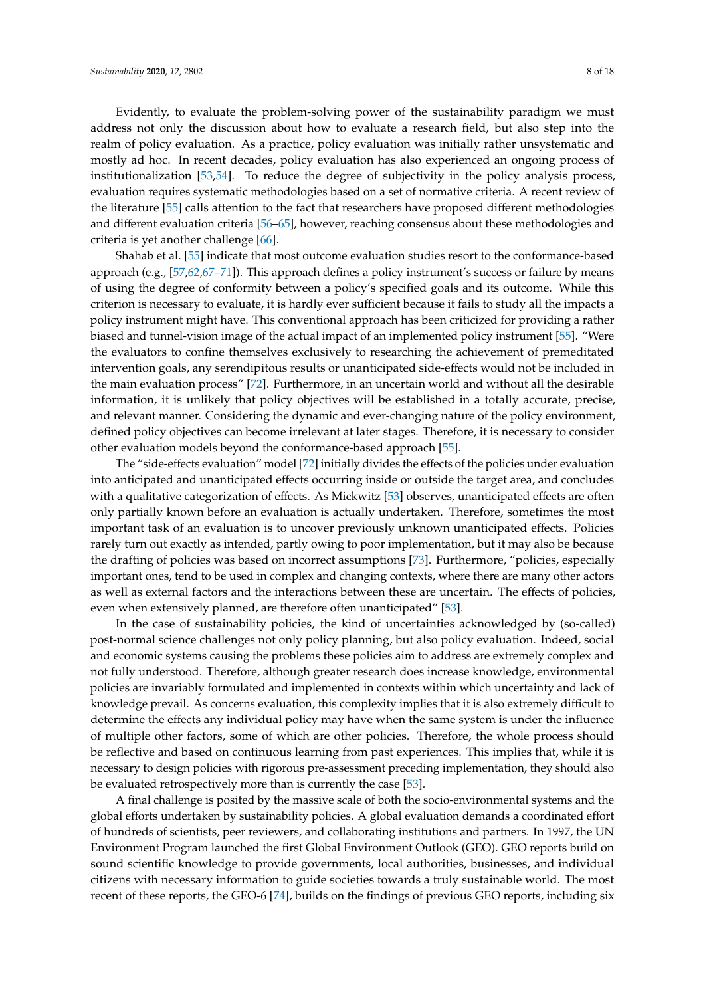Evidently, to evaluate the problem-solving power of the sustainability paradigm we must address not only the discussion about how to evaluate a research field, but also step into the realm of policy evaluation. As a practice, policy evaluation was initially rather unsystematic and mostly ad hoc. In recent decades, policy evaluation has also experienced an ongoing process of institutionalization [\[53](#page-16-5)[,54\]](#page-16-6). To reduce the degree of subjectivity in the policy analysis process, evaluation requires systematic methodologies based on a set of normative criteria. A recent review of the literature [\[55\]](#page-16-7) calls attention to the fact that researchers have proposed different methodologies and different evaluation criteria [\[56](#page-16-8)[–65\]](#page-16-9), however, reaching consensus about these methodologies and criteria is yet another challenge [\[66\]](#page-16-10).

Shahab et al. [\[55\]](#page-16-7) indicate that most outcome evaluation studies resort to the conformance-based approach (e.g., [\[57,](#page-16-11)[62,](#page-16-12)[67](#page-16-13)[–71\]](#page-16-14)). This approach defines a policy instrument's success or failure by means of using the degree of conformity between a policy's specified goals and its outcome. While this criterion is necessary to evaluate, it is hardly ever sufficient because it fails to study all the impacts a policy instrument might have. This conventional approach has been criticized for providing a rather biased and tunnel-vision image of the actual impact of an implemented policy instrument [\[55\]](#page-16-7). "Were the evaluators to confine themselves exclusively to researching the achievement of premeditated intervention goals, any serendipitous results or unanticipated side-effects would not be included in the main evaluation process" [\[72\]](#page-16-15). Furthermore, in an uncertain world and without all the desirable information, it is unlikely that policy objectives will be established in a totally accurate, precise, and relevant manner. Considering the dynamic and ever-changing nature of the policy environment, defined policy objectives can become irrelevant at later stages. Therefore, it is necessary to consider other evaluation models beyond the conformance-based approach [\[55\]](#page-16-7).

The "side-effects evaluation" model [\[72\]](#page-16-15) initially divides the effects of the policies under evaluation into anticipated and unanticipated effects occurring inside or outside the target area, and concludes with a qualitative categorization of effects. As Mickwitz [\[53\]](#page-16-5) observes, unanticipated effects are often only partially known before an evaluation is actually undertaken. Therefore, sometimes the most important task of an evaluation is to uncover previously unknown unanticipated effects. Policies rarely turn out exactly as intended, partly owing to poor implementation, but it may also be because the drafting of policies was based on incorrect assumptions [\[73\]](#page-16-16). Furthermore, "policies, especially important ones, tend to be used in complex and changing contexts, where there are many other actors as well as external factors and the interactions between these are uncertain. The effects of policies, even when extensively planned, are therefore often unanticipated" [\[53\]](#page-16-5).

In the case of sustainability policies, the kind of uncertainties acknowledged by (so-called) post-normal science challenges not only policy planning, but also policy evaluation. Indeed, social and economic systems causing the problems these policies aim to address are extremely complex and not fully understood. Therefore, although greater research does increase knowledge, environmental policies are invariably formulated and implemented in contexts within which uncertainty and lack of knowledge prevail. As concerns evaluation, this complexity implies that it is also extremely difficult to determine the effects any individual policy may have when the same system is under the influence of multiple other factors, some of which are other policies. Therefore, the whole process should be reflective and based on continuous learning from past experiences. This implies that, while it is necessary to design policies with rigorous pre-assessment preceding implementation, they should also be evaluated retrospectively more than is currently the case [\[53\]](#page-16-5).

A final challenge is posited by the massive scale of both the socio-environmental systems and the global efforts undertaken by sustainability policies. A global evaluation demands a coordinated effort of hundreds of scientists, peer reviewers, and collaborating institutions and partners. In 1997, the UN Environment Program launched the first Global Environment Outlook (GEO). GEO reports build on sound scientific knowledge to provide governments, local authorities, businesses, and individual citizens with necessary information to guide societies towards a truly sustainable world. The most recent of these reports, the GEO-6 [\[74\]](#page-16-17), builds on the findings of previous GEO reports, including six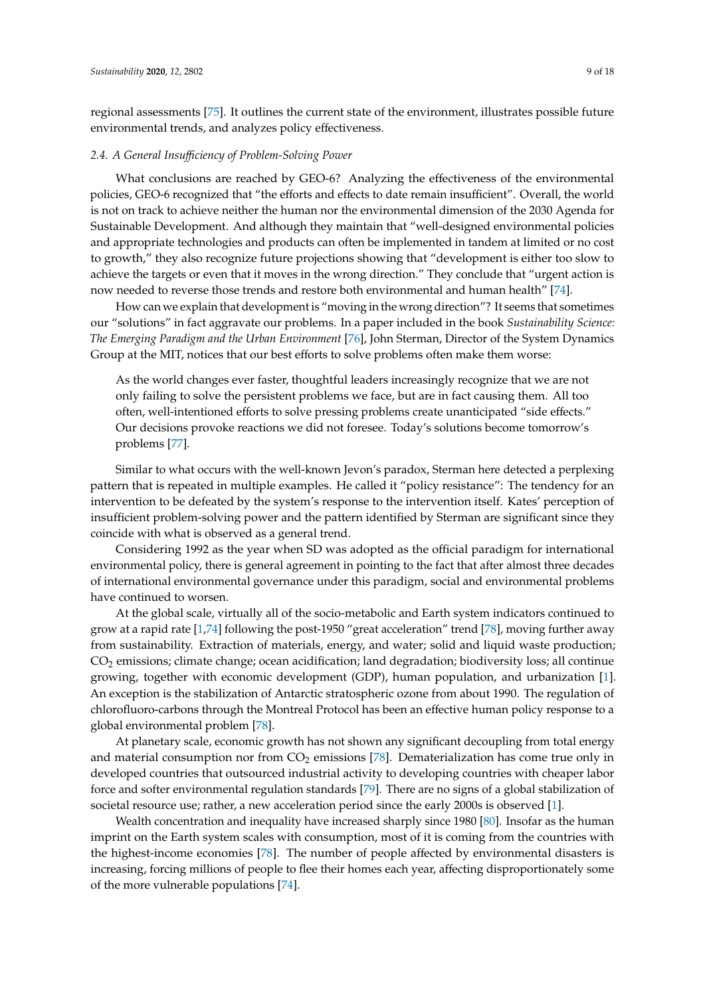regional assessments [\[75\]](#page-17-0). It outlines the current state of the environment, illustrates possible future environmental trends, and analyzes policy effectiveness.

#### *2.4. A General Insu*ffi*ciency of Problem-Solving Power*

What conclusions are reached by GEO-6? Analyzing the effectiveness of the environmental policies, GEO-6 recognized that "the efforts and effects to date remain insufficient". Overall, the world is not on track to achieve neither the human nor the environmental dimension of the 2030 Agenda for Sustainable Development. And although they maintain that "well-designed environmental policies and appropriate technologies and products can often be implemented in tandem at limited or no cost to growth," they also recognize future projections showing that "development is either too slow to achieve the targets or even that it moves in the wrong direction." They conclude that "urgent action is now needed to reverse those trends and restore both environmental and human health" [\[74\]](#page-16-17).

How can we explain that development is "moving in the wrong direction"? It seems that sometimes our "solutions" in fact aggravate our problems. In a paper included in the book *Sustainability Science: The Emerging Paradigm and the Urban Environment* [\[76\]](#page-17-1), John Sterman, Director of the System Dynamics Group at the MIT, notices that our best efforts to solve problems often make them worse:

As the world changes ever faster, thoughtful leaders increasingly recognize that we are not only failing to solve the persistent problems we face, but are in fact causing them. All too often, well-intentioned efforts to solve pressing problems create unanticipated "side effects." Our decisions provoke reactions we did not foresee. Today's solutions become tomorrow's problems [\[77\]](#page-17-2).

Similar to what occurs with the well-known Jevon's paradox, Sterman here detected a perplexing pattern that is repeated in multiple examples. He called it "policy resistance": The tendency for an intervention to be defeated by the system's response to the intervention itself. Kates' perception of insufficient problem-solving power and the pattern identified by Sterman are significant since they coincide with what is observed as a general trend.

Considering 1992 as the year when SD was adopted as the official paradigm for international environmental policy, there is general agreement in pointing to the fact that after almost three decades of international environmental governance under this paradigm, social and environmental problems have continued to worsen.

At the global scale, virtually all of the socio-metabolic and Earth system indicators continued to grow at a rapid rate [\[1,](#page-14-0)[74\]](#page-16-17) following the post-1950 "great acceleration" trend [\[78\]](#page-17-3), moving further away from sustainability. Extraction of materials, energy, and water; solid and liquid waste production; CO<sup>2</sup> emissions; climate change; ocean acidification; land degradation; biodiversity loss; all continue growing, together with economic development (GDP), human population, and urbanization [\[1\]](#page-14-0). An exception is the stabilization of Antarctic stratospheric ozone from about 1990. The regulation of chlorofluoro-carbons through the Montreal Protocol has been an effective human policy response to a global environmental problem [\[78\]](#page-17-3).

At planetary scale, economic growth has not shown any significant decoupling from total energy and material consumption nor from  $CO<sub>2</sub>$  emissions [\[78\]](#page-17-3). Dematerialization has come true only in developed countries that outsourced industrial activity to developing countries with cheaper labor force and softer environmental regulation standards [\[79\]](#page-17-4). There are no signs of a global stabilization of societal resource use; rather, a new acceleration period since the early 2000s is observed [\[1\]](#page-14-0).

Wealth concentration and inequality have increased sharply since 1980 [\[80\]](#page-17-5). Insofar as the human imprint on the Earth system scales with consumption, most of it is coming from the countries with the highest-income economies [\[78\]](#page-17-3). The number of people affected by environmental disasters is increasing, forcing millions of people to flee their homes each year, affecting disproportionately some of the more vulnerable populations [\[74\]](#page-16-17).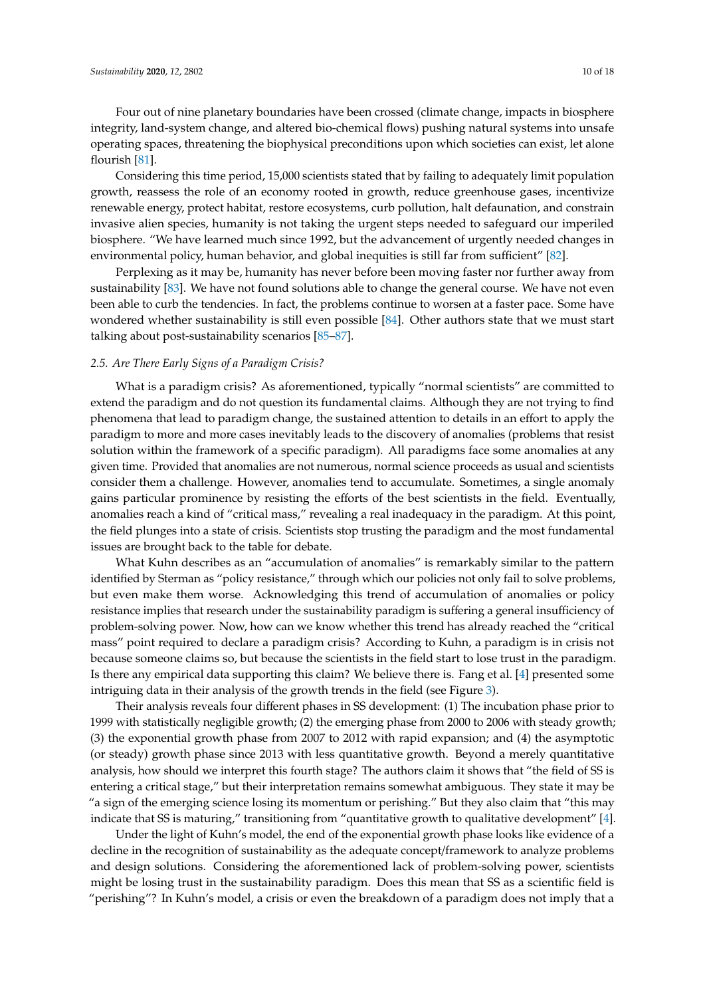Four out of nine planetary boundaries have been crossed (climate change, impacts in biosphere integrity, land-system change, and altered bio-chemical flows) pushing natural systems into unsafe operating spaces, threatening the biophysical preconditions upon which societies can exist, let alone flourish [\[81\]](#page-17-6).

Considering this time period, 15,000 scientists stated that by failing to adequately limit population growth, reassess the role of an economy rooted in growth, reduce greenhouse gases, incentivize renewable energy, protect habitat, restore ecosystems, curb pollution, halt defaunation, and constrain invasive alien species, humanity is not taking the urgent steps needed to safeguard our imperiled biosphere. "We have learned much since 1992, but the advancement of urgently needed changes in environmental policy, human behavior, and global inequities is still far from sufficient" [\[82\]](#page-17-7).

Perplexing as it may be, humanity has never before been moving faster nor further away from sustainability [\[83\]](#page-17-8). We have not found solutions able to change the general course. We have not even been able to curb the tendencies. In fact, the problems continue to worsen at a faster pace. Some have wondered whether sustainability is still even possible [\[84\]](#page-17-9). Other authors state that we must start talking about post-sustainability scenarios [\[85](#page-17-10)[–87\]](#page-17-11).

# *2.5. Are There Early Signs of a Paradigm Crisis?*

What is a paradigm crisis? As aforementioned, typically "normal scientists" are committed to extend the paradigm and do not question its fundamental claims. Although they are not trying to find phenomena that lead to paradigm change, the sustained attention to details in an effort to apply the paradigm to more and more cases inevitably leads to the discovery of anomalies (problems that resist solution within the framework of a specific paradigm). All paradigms face some anomalies at any given time. Provided that anomalies are not numerous, normal science proceeds as usual and scientists consider them a challenge. However, anomalies tend to accumulate. Sometimes, a single anomaly gains particular prominence by resisting the efforts of the best scientists in the field. Eventually, anomalies reach a kind of "critical mass," revealing a real inadequacy in the paradigm. At this point, the field plunges into a state of crisis. Scientists stop trusting the paradigm and the most fundamental issues are brought back to the table for debate.

What Kuhn describes as an "accumulation of anomalies" is remarkably similar to the pattern identified by Sterman as "policy resistance," through which our policies not only fail to solve problems, but even make them worse. Acknowledging this trend of accumulation of anomalies or policy resistance implies that research under the sustainability paradigm is suffering a general insufficiency of problem-solving power. Now, how can we know whether this trend has already reached the "critical mass" point required to declare a paradigm crisis? According to Kuhn, a paradigm is in crisis not because someone claims so, but because the scientists in the field start to lose trust in the paradigm. Is there any empirical data supporting this claim? We believe there is. Fang et al. [\[4\]](#page-14-3) presented some intriguing data in their analysis of the growth trends in the field (see Figure [3\)](#page-10-0).

Their analysis reveals four different phases in SS development: (1) The incubation phase prior to 1999 with statistically negligible growth; (2) the emerging phase from 2000 to 2006 with steady growth; (3) the exponential growth phase from 2007 to 2012 with rapid expansion; and (4) the asymptotic (or steady) growth phase since 2013 with less quantitative growth. Beyond a merely quantitative analysis, how should we interpret this fourth stage? The authors claim it shows that "the field of SS is entering a critical stage," but their interpretation remains somewhat ambiguous. They state it may be "a sign of the emerging science losing its momentum or perishing." But they also claim that "this may indicate that SS is maturing," transitioning from "quantitative growth to qualitative development" [\[4\]](#page-14-3).

Under the light of Kuhn's model, the end of the exponential growth phase looks like evidence of a decline in the recognition of sustainability as the adequate concept/framework to analyze problems and design solutions. Considering the aforementioned lack of problem-solving power, scientists might be losing trust in the sustainability paradigm. Does this mean that SS as a scientific field is "perishing"? In Kuhn's model, a crisis or even the breakdown of a paradigm does not imply that a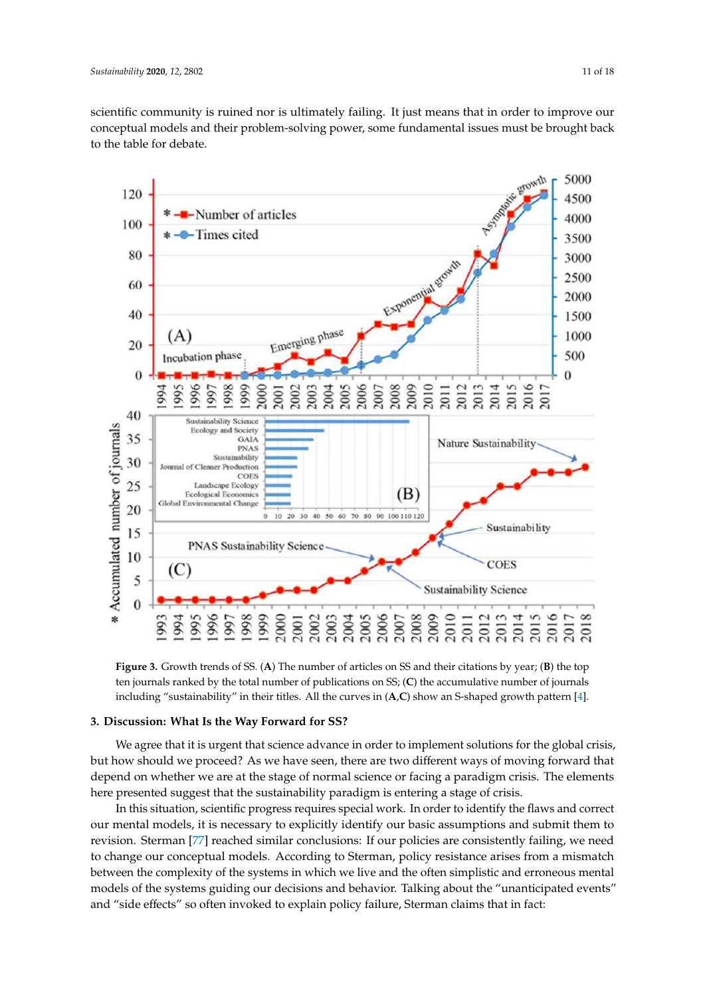scientific community is ruined nor is ultimately failing. It just means that in order to improve our conceptual models and their problem-solving power, some fundamental issues must be brought back to the table for debate. *Sustainability* **2020**, *2020*, *12*, *12*, *12*, *12*, *12*, *12*, *12*, *12*, *12*, *12*, *12*, *12*, *12*, *12*, *12*, *12*, *12*, *12*, *12*, *12*, *12*, *12*, *12*, *12*, *12*, *12*, *12*, *12*, *12*, *12*, *12*, *12* 

<span id="page-10-0"></span>

Figure 3. Growth trends of SS. (A) The number of articles on SS and their citations by year; (B) the top ten journals ranked by the total number of publications on SS; (C) the accumulative number of ten journals ranked by the total number of publications on SS; (**C**) the accumulative number of journals including "sustainability" in their titles. All the curves in (A,C) show an S-shaped growth pattern [\[4\]](#page-14-3).

## **3. Discussion: What Is the Way Forward for SS?**

Their analysis reveals four different phases in SS development: (1) The incubation phase prior We agree that it is urgent that science advance in order to implement solutions for the global crisis,<br>We agree that it is urgent that science advance in order to implement solutions for the global crisis, but how should we proceed? As we have seen, there are two different ways of moving forward that depend on whether we are at the stage of normal science or facing a paradigm crisis. The elements here presented suggest that the sustainability paradigm is entering a stage of crisis.

In this situation, scientific progress requires special work. In order to identify the flaws and correct our mental models, it is necessary to explicitly identify our basic assumptions and submit them to revision. Sterman [\[77\]](#page-17-2) reached similar conclusions: If our policies are consistently failing, we need to change our conceptual models. According to Sterman, policy resistance arises from a mismatch between the complexity of the systems in which we live and the often simplistic and erroneous mental models of the systems guiding our decisions and behavior. Talking about the "unanticipated events" and "side effects" so often invoked to explain policy failure, Sterman claims that in fact: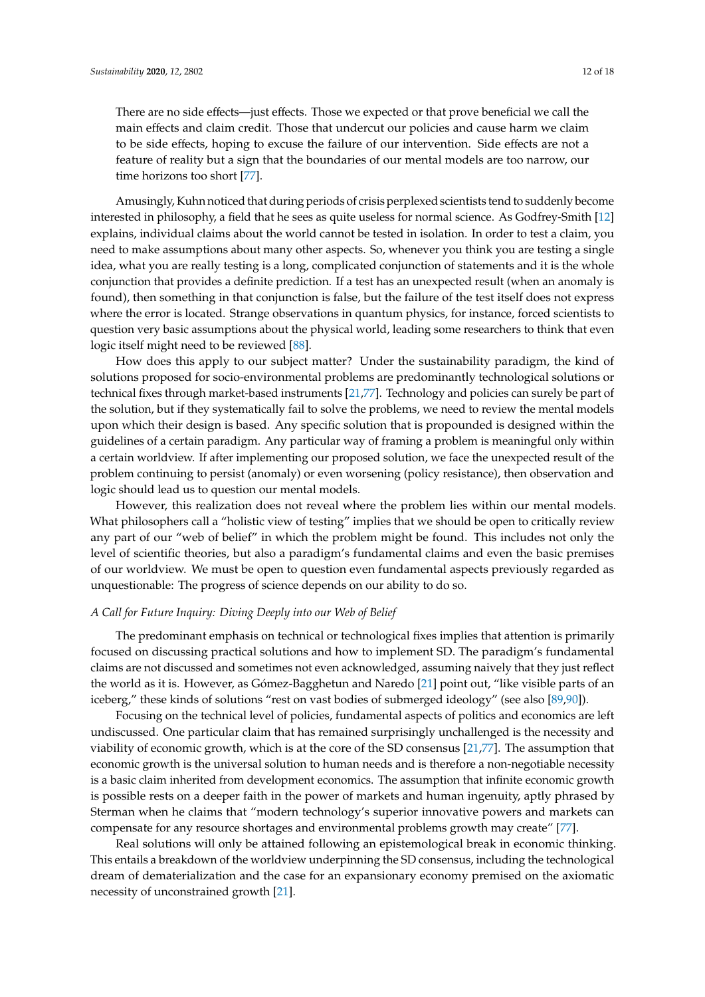There are no side effects—just effects. Those we expected or that prove beneficial we call the main effects and claim credit. Those that undercut our policies and cause harm we claim to be side effects, hoping to excuse the failure of our intervention. Side effects are not a feature of reality but a sign that the boundaries of our mental models are too narrow, our time horizons too short [\[77\]](#page-17-2).

Amusingly, Kuhn noticed that during periods of crisis perplexed scientists tend to suddenly become interested in philosophy, a field that he sees as quite useless for normal science. As Godfrey-Smith [\[12\]](#page-14-10) explains, individual claims about the world cannot be tested in isolation. In order to test a claim, you need to make assumptions about many other aspects. So, whenever you think you are testing a single idea, what you are really testing is a long, complicated conjunction of statements and it is the whole conjunction that provides a definite prediction. If a test has an unexpected result (when an anomaly is found), then something in that conjunction is false, but the failure of the test itself does not express where the error is located. Strange observations in quantum physics, for instance, forced scientists to question very basic assumptions about the physical world, leading some researchers to think that even logic itself might need to be reviewed [\[88\]](#page-17-12).

How does this apply to our subject matter? Under the sustainability paradigm, the kind of solutions proposed for socio-environmental problems are predominantly technological solutions or technical fixes through market-based instruments [\[21,](#page-15-1)[77\]](#page-17-2). Technology and policies can surely be part of the solution, but if they systematically fail to solve the problems, we need to review the mental models upon which their design is based. Any specific solution that is propounded is designed within the guidelines of a certain paradigm. Any particular way of framing a problem is meaningful only within a certain worldview. If after implementing our proposed solution, we face the unexpected result of the problem continuing to persist (anomaly) or even worsening (policy resistance), then observation and logic should lead us to question our mental models.

However, this realization does not reveal where the problem lies within our mental models. What philosophers call a "holistic view of testing" implies that we should be open to critically review any part of our "web of belief" in which the problem might be found. This includes not only the level of scientific theories, but also a paradigm's fundamental claims and even the basic premises of our worldview. We must be open to question even fundamental aspects previously regarded as unquestionable: The progress of science depends on our ability to do so.

#### *A Call for Future Inquiry: Diving Deeply into our Web of Belief*

The predominant emphasis on technical or technological fixes implies that attention is primarily focused on discussing practical solutions and how to implement SD. The paradigm's fundamental claims are not discussed and sometimes not even acknowledged, assuming naively that they just reflect the world as it is. However, as Gómez-Bagghetun and Naredo [\[21\]](#page-15-1) point out, "like visible parts of an iceberg," these kinds of solutions "rest on vast bodies of submerged ideology" (see also [\[89](#page-17-13)[,90\]](#page-17-14)).

Focusing on the technical level of policies, fundamental aspects of politics and economics are left undiscussed. One particular claim that has remained surprisingly unchallenged is the necessity and viability of economic growth, which is at the core of the SD consensus [\[21,](#page-15-1)[77\]](#page-17-2). The assumption that economic growth is the universal solution to human needs and is therefore a non-negotiable necessity is a basic claim inherited from development economics. The assumption that infinite economic growth is possible rests on a deeper faith in the power of markets and human ingenuity, aptly phrased by Sterman when he claims that "modern technology's superior innovative powers and markets can compensate for any resource shortages and environmental problems growth may create" [\[77\]](#page-17-2).

Real solutions will only be attained following an epistemological break in economic thinking. This entails a breakdown of the worldview underpinning the SD consensus, including the technological dream of dematerialization and the case for an expansionary economy premised on the axiomatic necessity of unconstrained growth [\[21\]](#page-15-1).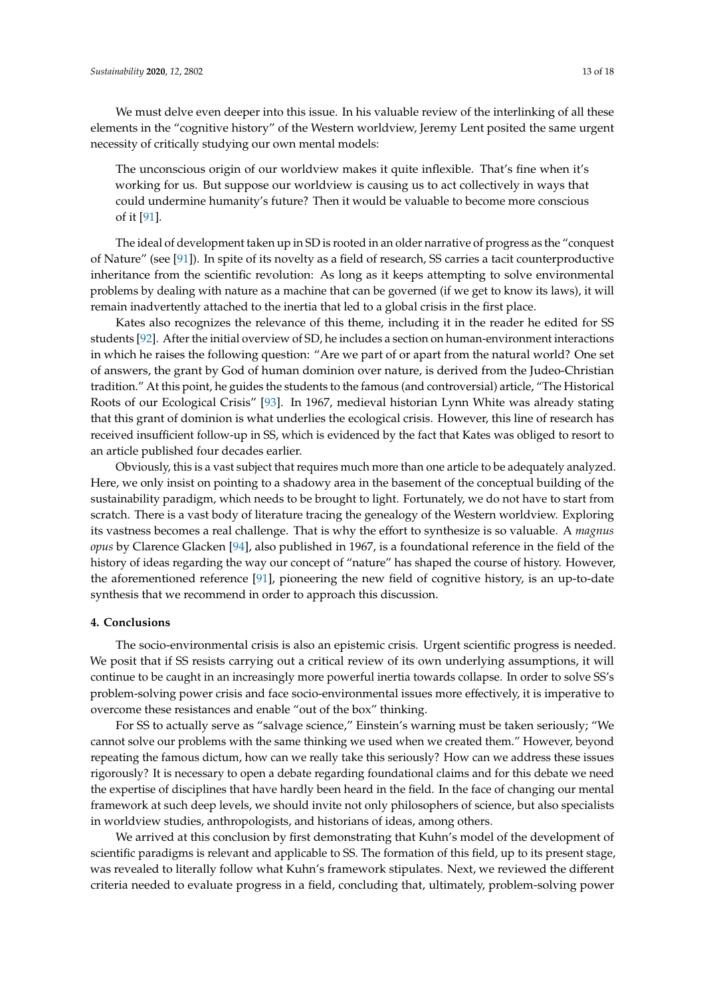We must delve even deeper into this issue. In his valuable review of the interlinking of all these elements in the "cognitive history" of the Western worldview, Jeremy Lent posited the same urgent necessity of critically studying our own mental models:

The unconscious origin of our worldview makes it quite inflexible. That's fine when it's working for us. But suppose our worldview is causing us to act collectively in ways that could undermine humanity's future? Then it would be valuable to become more conscious of it [\[91\]](#page-17-15).

The ideal of development taken up in SD is rooted in an older narrative of progress as the "conquest of Nature" (see [\[91\]](#page-17-15)). In spite of its novelty as a field of research, SS carries a tacit counterproductive inheritance from the scientific revolution: As long as it keeps attempting to solve environmental problems by dealing with nature as a machine that can be governed (if we get to know its laws), it will remain inadvertently attached to the inertia that led to a global crisis in the first place.

Kates also recognizes the relevance of this theme, including it in the reader he edited for SS students [\[92\]](#page-17-16). After the initial overview of SD, he includes a section on human-environment interactions in which he raises the following question: "Are we part of or apart from the natural world? One set of answers, the grant by God of human dominion over nature, is derived from the Judeo-Christian tradition." At this point, he guides the students to the famous (and controversial) article, "The Historical Roots of our Ecological Crisis" [\[93\]](#page-17-17). In 1967, medieval historian Lynn White was already stating that this grant of dominion is what underlies the ecological crisis. However, this line of research has received insufficient follow-up in SS, which is evidenced by the fact that Kates was obliged to resort to an article published four decades earlier.

Obviously, this is a vast subject that requires much more than one article to be adequately analyzed. Here, we only insist on pointing to a shadowy area in the basement of the conceptual building of the sustainability paradigm, which needs to be brought to light. Fortunately, we do not have to start from scratch. There is a vast body of literature tracing the genealogy of the Western worldview. Exploring its vastness becomes a real challenge. That is why the effort to synthesize is so valuable. A *magnus opus* by Clarence Glacken [\[94\]](#page-17-18), also published in 1967, is a foundational reference in the field of the history of ideas regarding the way our concept of "nature" has shaped the course of history. However, the aforementioned reference [\[91\]](#page-17-15), pioneering the new field of cognitive history, is an up-to-date synthesis that we recommend in order to approach this discussion.

#### **4. Conclusions**

The socio-environmental crisis is also an epistemic crisis. Urgent scientific progress is needed. We posit that if SS resists carrying out a critical review of its own underlying assumptions, it will continue to be caught in an increasingly more powerful inertia towards collapse. In order to solve SS's problem-solving power crisis and face socio-environmental issues more effectively, it is imperative to overcome these resistances and enable "out of the box" thinking.

For SS to actually serve as "salvage science," Einstein's warning must be taken seriously; "We cannot solve our problems with the same thinking we used when we created them." However, beyond repeating the famous dictum, how can we really take this seriously? How can we address these issues rigorously? It is necessary to open a debate regarding foundational claims and for this debate we need the expertise of disciplines that have hardly been heard in the field. In the face of changing our mental framework at such deep levels, we should invite not only philosophers of science, but also specialists in worldview studies, anthropologists, and historians of ideas, among others.

We arrived at this conclusion by first demonstrating that Kuhn's model of the development of scientific paradigms is relevant and applicable to SS. The formation of this field, up to its present stage, was revealed to literally follow what Kuhn's framework stipulates. Next, we reviewed the different criteria needed to evaluate progress in a field, concluding that, ultimately, problem-solving power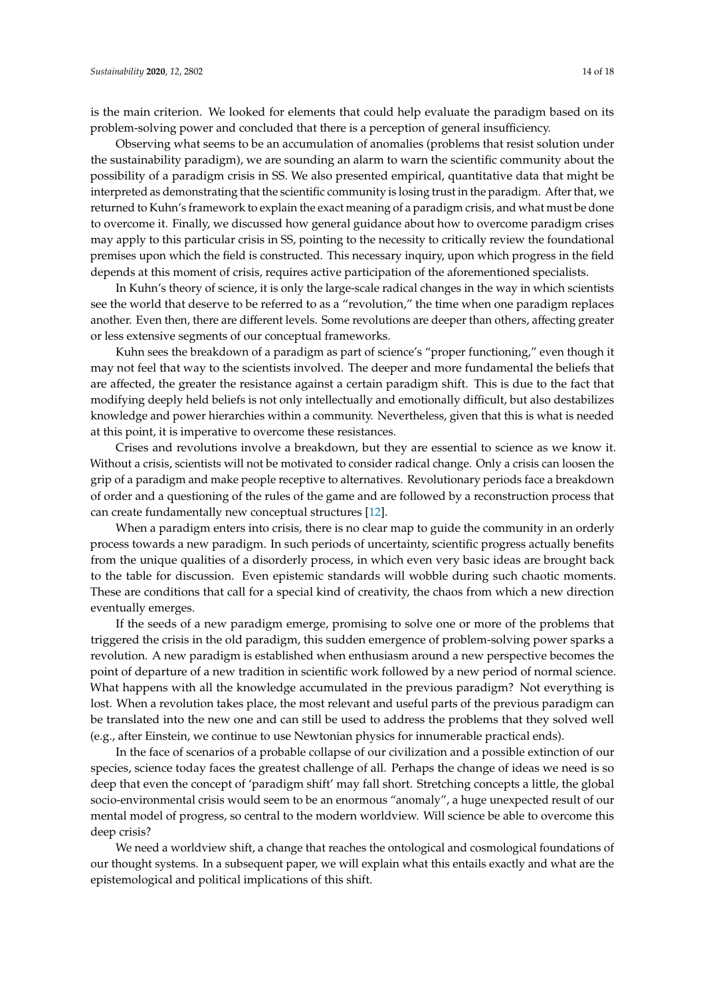is the main criterion. We looked for elements that could help evaluate the paradigm based on its problem-solving power and concluded that there is a perception of general insufficiency.

Observing what seems to be an accumulation of anomalies (problems that resist solution under the sustainability paradigm), we are sounding an alarm to warn the scientific community about the possibility of a paradigm crisis in SS. We also presented empirical, quantitative data that might be interpreted as demonstrating that the scientific community is losing trust in the paradigm. After that, we returned to Kuhn's framework to explain the exact meaning of a paradigm crisis, and what must be done to overcome it. Finally, we discussed how general guidance about how to overcome paradigm crises may apply to this particular crisis in SS, pointing to the necessity to critically review the foundational premises upon which the field is constructed. This necessary inquiry, upon which progress in the field depends at this moment of crisis, requires active participation of the aforementioned specialists.

In Kuhn's theory of science, it is only the large-scale radical changes in the way in which scientists see the world that deserve to be referred to as a "revolution," the time when one paradigm replaces another. Even then, there are different levels. Some revolutions are deeper than others, affecting greater or less extensive segments of our conceptual frameworks.

Kuhn sees the breakdown of a paradigm as part of science's "proper functioning," even though it may not feel that way to the scientists involved. The deeper and more fundamental the beliefs that are affected, the greater the resistance against a certain paradigm shift. This is due to the fact that modifying deeply held beliefs is not only intellectually and emotionally difficult, but also destabilizes knowledge and power hierarchies within a community. Nevertheless, given that this is what is needed at this point, it is imperative to overcome these resistances.

Crises and revolutions involve a breakdown, but they are essential to science as we know it. Without a crisis, scientists will not be motivated to consider radical change. Only a crisis can loosen the grip of a paradigm and make people receptive to alternatives. Revolutionary periods face a breakdown of order and a questioning of the rules of the game and are followed by a reconstruction process that can create fundamentally new conceptual structures [\[12\]](#page-14-10).

When a paradigm enters into crisis, there is no clear map to guide the community in an orderly process towards a new paradigm. In such periods of uncertainty, scientific progress actually benefits from the unique qualities of a disorderly process, in which even very basic ideas are brought back to the table for discussion. Even epistemic standards will wobble during such chaotic moments. These are conditions that call for a special kind of creativity, the chaos from which a new direction eventually emerges.

If the seeds of a new paradigm emerge, promising to solve one or more of the problems that triggered the crisis in the old paradigm, this sudden emergence of problem-solving power sparks a revolution. A new paradigm is established when enthusiasm around a new perspective becomes the point of departure of a new tradition in scientific work followed by a new period of normal science. What happens with all the knowledge accumulated in the previous paradigm? Not everything is lost. When a revolution takes place, the most relevant and useful parts of the previous paradigm can be translated into the new one and can still be used to address the problems that they solved well (e.g., after Einstein, we continue to use Newtonian physics for innumerable practical ends).

In the face of scenarios of a probable collapse of our civilization and a possible extinction of our species, science today faces the greatest challenge of all. Perhaps the change of ideas we need is so deep that even the concept of 'paradigm shift' may fall short. Stretching concepts a little, the global socio-environmental crisis would seem to be an enormous "anomaly", a huge unexpected result of our mental model of progress, so central to the modern worldview. Will science be able to overcome this deep crisis?

We need a worldview shift, a change that reaches the ontological and cosmological foundations of our thought systems. In a subsequent paper, we will explain what this entails exactly and what are the epistemological and political implications of this shift.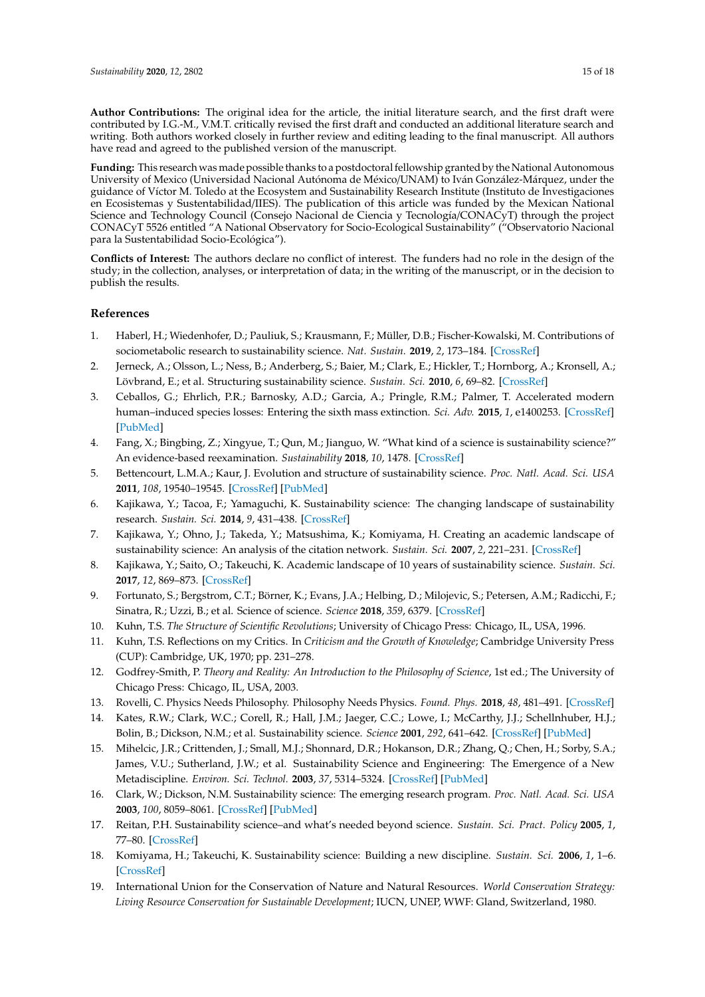**Author Contributions:** The original idea for the article, the initial literature search, and the first draft were contributed by I.G.-M., V.M.T. critically revised the first draft and conducted an additional literature search and writing. Both authors worked closely in further review and editing leading to the final manuscript. All authors have read and agreed to the published version of the manuscript.

**Funding:** This research was made possible thanks to a postdoctoral fellowship granted by the National Autonomous University of Mexico (Universidad Nacional Autónoma de México/UNAM) to Iván González-Márquez, under the guidance of Víctor M. Toledo at the Ecosystem and Sustainability Research Institute (Instituto de Investigaciones en Ecosistemas y Sustentabilidad/IIES). The publication of this article was funded by the Mexican National Science and Technology Council (Consejo Nacional de Ciencia y Tecnología/CONACyT) through the project CONACyT 5526 entitled "A National Observatory for Socio-Ecological Sustainability" ("Observatorio Nacional para la Sustentabilidad Socio-Ecológica").

**Conflicts of Interest:** The authors declare no conflict of interest. The funders had no role in the design of the study; in the collection, analyses, or interpretation of data; in the writing of the manuscript, or in the decision to publish the results.

## **References**

- <span id="page-14-0"></span>1. Haberl, H.; Wiedenhofer, D.; Pauliuk, S.; Krausmann, F.; Müller, D.B.; Fischer-Kowalski, M. Contributions of sociometabolic research to sustainability science. *Nat. Sustain.* **2019**, *2*, 173–184. [\[CrossRef\]](http://dx.doi.org/10.1038/s41893-019-0225-2)
- <span id="page-14-1"></span>2. Jerneck, A.; Olsson, L.; Ness, B.; Anderberg, S.; Baier, M.; Clark, E.; Hickler, T.; Hornborg, A.; Kronsell, A.; Lövbrand, E.; et al. Structuring sustainability science. *Sustain. Sci.* **2010**, *6*, 69–82. [\[CrossRef\]](http://dx.doi.org/10.1007/s11625-010-0117-x)
- <span id="page-14-2"></span>3. Ceballos, G.; Ehrlich, P.R.; Barnosky, A.D.; Garcia, A.; Pringle, R.M.; Palmer, T. Accelerated modern human–induced species losses: Entering the sixth mass extinction. *Sci. Adv.* **2015**, *1*, e1400253. [\[CrossRef\]](http://dx.doi.org/10.1126/sciadv.1400253) [\[PubMed\]](http://www.ncbi.nlm.nih.gov/pubmed/26601195)
- <span id="page-14-3"></span>4. Fang, X.; Bingbing, Z.; Xingyue, T.; Qun, M.; Jianguo, W. "What kind of a science is sustainability science?" An evidence-based reexamination. *Sustainability* **2018**, *10*, 1478. [\[CrossRef\]](http://dx.doi.org/10.3390/su10051478)
- <span id="page-14-4"></span>5. Bettencourt, L.M.A.; Kaur, J. Evolution and structure of sustainability science. *Proc. Natl. Acad. Sci. USA* **2011**, *108*, 19540–19545. [\[CrossRef\]](http://dx.doi.org/10.1073/pnas.1102712108) [\[PubMed\]](http://www.ncbi.nlm.nih.gov/pubmed/22114186)
- <span id="page-14-5"></span>6. Kajikawa, Y.; Tacoa, F.; Yamaguchi, K. Sustainability science: The changing landscape of sustainability research. *Sustain. Sci.* **2014**, *9*, 431–438. [\[CrossRef\]](http://dx.doi.org/10.1007/s11625-014-0244-x)
- 7. Kajikawa, Y.; Ohno, J.; Takeda, Y.; Matsushima, K.; Komiyama, H. Creating an academic landscape of sustainability science: An analysis of the citation network. *Sustain. Sci.* **2007**, *2*, 221–231. [\[CrossRef\]](http://dx.doi.org/10.1007/s11625-007-0027-8)
- <span id="page-14-6"></span>8. Kajikawa, Y.; Saito, O.; Takeuchi, K. Academic landscape of 10 years of sustainability science. *Sustain. Sci.* **2017**, *12*, 869–873. [\[CrossRef\]](http://dx.doi.org/10.1007/s11625-017-0477-6)
- <span id="page-14-7"></span>9. Fortunato, S.; Bergstrom, C.T.; Börner, K.; Evans, J.A.; Helbing, D.; Milojevic, S.; Petersen, A.M.; Radicchi, F.; Sinatra, R.; Uzzi, B.; et al. Science of science. *Science* **2018**, *359*, 6379. [\[CrossRef\]](http://dx.doi.org/10.1126/science.aao0185)
- <span id="page-14-8"></span>10. Kuhn, T.S. *The Structure of Scientific Revolutions*; University of Chicago Press: Chicago, IL, USA, 1996.
- <span id="page-14-9"></span>11. Kuhn, T.S. Reflections on my Critics. In *Criticism and the Growth of Knowledge*; Cambridge University Press (CUP): Cambridge, UK, 1970; pp. 231–278.
- <span id="page-14-10"></span>12. Godfrey-Smith, P. *Theory and Reality: An Introduction to the Philosophy of Science*, 1st ed.; The University of Chicago Press: Chicago, IL, USA, 2003.
- <span id="page-14-11"></span>13. Rovelli, C. Physics Needs Philosophy. Philosophy Needs Physics. *Found. Phys.* **2018**, *48*, 481–491. [\[CrossRef\]](http://dx.doi.org/10.1007/s10701-018-0167-y)
- <span id="page-14-12"></span>14. Kates, R.W.; Clark, W.C.; Corell, R.; Hall, J.M.; Jaeger, C.C.; Lowe, I.; McCarthy, J.J.; Schellnhuber, H.J.; Bolin, B.; Dickson, N.M.; et al. Sustainability science. *Science* **2001**, *292*, 641–642. [\[CrossRef\]](http://dx.doi.org/10.1126/science.1059386) [\[PubMed\]](http://www.ncbi.nlm.nih.gov/pubmed/11330321)
- <span id="page-14-15"></span>15. Mihelcic, J.R.; Crittenden, J.; Small, M.J.; Shonnard, D.R.; Hokanson, D.R.; Zhang, Q.; Chen, H.; Sorby, S.A.; James, V.U.; Sutherland, J.W.; et al. Sustainability Science and Engineering: The Emergence of a New Metadiscipline. *Environ. Sci. Technol.* **2003**, *37*, 5314–5324. [\[CrossRef\]](http://dx.doi.org/10.1021/es034605h) [\[PubMed\]](http://www.ncbi.nlm.nih.gov/pubmed/14700315)
- 16. Clark, W.; Dickson, N.M. Sustainability science: The emerging research program. *Proc. Natl. Acad. Sci. USA* **2003**, *100*, 8059–8061. [\[CrossRef\]](http://dx.doi.org/10.1073/pnas.1231333100) [\[PubMed\]](http://www.ncbi.nlm.nih.gov/pubmed/12794187)
- 17. Reitan, P.H. Sustainability science–and what's needed beyond science. *Sustain. Sci. Pract. Policy* **2005**, *1*, 77–80. [\[CrossRef\]](http://dx.doi.org/10.1080/15487733.2005.11907966)
- <span id="page-14-13"></span>18. Komiyama, H.; Takeuchi, K. Sustainability science: Building a new discipline. *Sustain. Sci.* **2006**, *1*, 1–6. [\[CrossRef\]](http://dx.doi.org/10.1007/s11625-006-0007-4)
- <span id="page-14-14"></span>19. International Union for the Conservation of Nature and Natural Resources. *World Conservation Strategy: Living Resource Conservation for Sustainable Development*; IUCN, UNEP, WWF: Gland, Switzerland, 1980.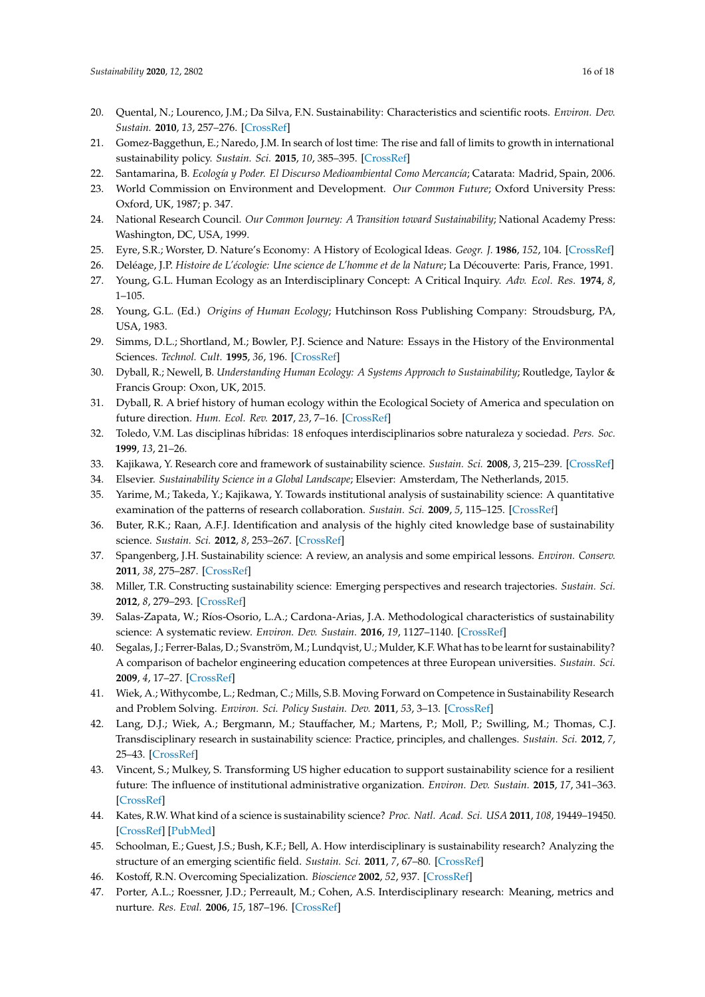- <span id="page-15-0"></span>20. Quental, N.; Lourenco, J.M.; Da Silva, F.N. Sustainability: Characteristics and scientific roots. *Environ. Dev. Sustain.* **2010**, *13*, 257–276. [\[CrossRef\]](http://dx.doi.org/10.1007/s10668-010-9260-x)
- <span id="page-15-1"></span>21. Gomez-Baggethun, E.; Naredo, J.M. In search of lost time: The rise and fall of limits to growth in international sustainability policy. *Sustain. Sci.* **2015**, *10*, 385–395. [\[CrossRef\]](http://dx.doi.org/10.1007/s11625-015-0308-6)
- <span id="page-15-2"></span>22. Santamarina, B. *Ecología y Poder. El Discurso Medioambiental Como Mercancía*; Catarata: Madrid, Spain, 2006.
- <span id="page-15-3"></span>23. World Commission on Environment and Development. *Our Common Future*; Oxford University Press: Oxford, UK, 1987; p. 347.
- <span id="page-15-4"></span>24. National Research Council. *Our Common Journey: A Transition toward Sustainability*; National Academy Press: Washington, DC, USA, 1999.
- <span id="page-15-5"></span>25. Eyre, S.R.; Worster, D. Nature's Economy: A History of Ecological Ideas. *Geogr. J.* **1986**, *152*, 104. [\[CrossRef\]](http://dx.doi.org/10.2307/632965)
- <span id="page-15-6"></span>26. Deléage, J.P. *Histoire de L'écologie: Une science de L'homme et de la Nature*; La Découverte: Paris, France, 1991.
- <span id="page-15-7"></span>27. Young, G.L. Human Ecology as an Interdisciplinary Concept: A Critical Inquiry. *Adv. Ecol. Res.* **1974**, *8*, 1–105.
- <span id="page-15-8"></span>28. Young, G.L. (Ed.) *Origins of Human Ecology*; Hutchinson Ross Publishing Company: Stroudsburg, PA, USA, 1983.
- <span id="page-15-9"></span>29. Simms, D.L.; Shortland, M.; Bowler, P.J. Science and Nature: Essays in the History of the Environmental Sciences. *Technol. Cult.* **1995**, *36*, 196. [\[CrossRef\]](http://dx.doi.org/10.2307/3106361)
- <span id="page-15-10"></span>30. Dyball, R.; Newell, B. *Understanding Human Ecology: A Systems Approach to Sustainability*; Routledge, Taylor & Francis Group: Oxon, UK, 2015.
- <span id="page-15-11"></span>31. Dyball, R. A brief history of human ecology within the Ecological Society of America and speculation on future direction. *Hum. Ecol. Rev.* **2017**, *23*, 7–16. [\[CrossRef\]](http://dx.doi.org/10.22459/HER.23.02.2017.02)
- <span id="page-15-12"></span>32. Toledo, V.M. Las disciplinas híbridas: 18 enfoques interdisciplinarios sobre naturaleza y sociedad. *Pers. Soc.* **1999**, *13*, 21–26.
- <span id="page-15-13"></span>33. Kajikawa, Y. Research core and framework of sustainability science. *Sustain. Sci.* **2008**, *3*, 215–239. [\[CrossRef\]](http://dx.doi.org/10.1007/s11625-008-0053-1)
- <span id="page-15-14"></span>34. Elsevier. *Sustainability Science in a Global Landscape*; Elsevier: Amsterdam, The Netherlands, 2015.
- <span id="page-15-15"></span>35. Yarime, M.; Takeda, Y.; Kajikawa, Y. Towards institutional analysis of sustainability science: A quantitative examination of the patterns of research collaboration. *Sustain. Sci.* **2009**, *5*, 115–125. [\[CrossRef\]](http://dx.doi.org/10.1007/s11625-009-0090-4)
- <span id="page-15-16"></span>36. Buter, R.K.; Raan, A.F.J. Identification and analysis of the highly cited knowledge base of sustainability science. *Sustain. Sci.* **2012**, *8*, 253–267. [\[CrossRef\]](http://dx.doi.org/10.1007/s11625-012-0185-1)
- <span id="page-15-17"></span>37. Spangenberg, J.H. Sustainability science: A review, an analysis and some empirical lessons. *Environ. Conserv.* **2011**, *38*, 275–287. [\[CrossRef\]](http://dx.doi.org/10.1017/S0376892911000270)
- 38. Miller, T.R. Constructing sustainability science: Emerging perspectives and research trajectories. *Sustain. Sci.* **2012**, *8*, 279–293. [\[CrossRef\]](http://dx.doi.org/10.1007/s11625-012-0180-6)
- <span id="page-15-18"></span>39. Salas-Zapata, W.; Ríos-Osorio, L.A.; Cardona-Arias, J.A. Methodological characteristics of sustainability science: A systematic review. *Environ. Dev. Sustain.* **2016**, *19*, 1127–1140. [\[CrossRef\]](http://dx.doi.org/10.1007/s10668-016-9801-z)
- <span id="page-15-19"></span>40. Segalas, J.; Ferrer-Balas, D.; Svanström, M.; Lundqvist, U.; Mulder, K.F. What has to be learnt for sustainability? A comparison of bachelor engineering education competences at three European universities. *Sustain. Sci.* **2009**, *4*, 17–27. [\[CrossRef\]](http://dx.doi.org/10.1007/s11625-009-0068-2)
- 41. Wiek, A.; Withycombe, L.; Redman, C.; Mills, S.B. Moving Forward on Competence in Sustainability Research and Problem Solving. *Environ. Sci. Policy Sustain. Dev.* **2011**, *53*, 3–13. [\[CrossRef\]](http://dx.doi.org/10.1080/00139157.2011.554496)
- 42. Lang, D.J.; Wiek, A.; Bergmann, M.; Stauffacher, M.; Martens, P.; Moll, P.; Swilling, M.; Thomas, C.J. Transdisciplinary research in sustainability science: Practice, principles, and challenges. *Sustain. Sci.* **2012**, *7*, 25–43. [\[CrossRef\]](http://dx.doi.org/10.1007/s11625-011-0149-x)
- <span id="page-15-20"></span>43. Vincent, S.; Mulkey, S. Transforming US higher education to support sustainability science for a resilient future: The influence of institutional administrative organization. *Environ. Dev. Sustain.* **2015**, *17*, 341–363. [\[CrossRef\]](http://dx.doi.org/10.1007/s10668-015-9623-4)
- <span id="page-15-21"></span>44. Kates, R.W. What kind of a science is sustainability science? *Proc. Natl. Acad. Sci. USA* **2011**, *108*, 19449–19450. [\[CrossRef\]](http://dx.doi.org/10.1073/pnas.1116097108) [\[PubMed\]](http://www.ncbi.nlm.nih.gov/pubmed/22114189)
- <span id="page-15-22"></span>45. Schoolman, E.; Guest, J.S.; Bush, K.F.; Bell, A. How interdisciplinary is sustainability research? Analyzing the structure of an emerging scientific field. *Sustain. Sci.* **2011**, *7*, 67–80. [\[CrossRef\]](http://dx.doi.org/10.1007/s11625-011-0139-z)
- <span id="page-15-23"></span>46. Kostoff, R.N. Overcoming Specialization. *Bioscience* **2002**, *52*, 937. [\[CrossRef\]](http://dx.doi.org/10.1641/0006-3568(2002)052[0937:OS]2.0.CO;2)
- <span id="page-15-24"></span>47. Porter, A.L.; Roessner, J.D.; Perreault, M.; Cohen, A.S. Interdisciplinary research: Meaning, metrics and nurture. *Res. Eval.* **2006**, *15*, 187–196. [\[CrossRef\]](http://dx.doi.org/10.3152/147154406781775841)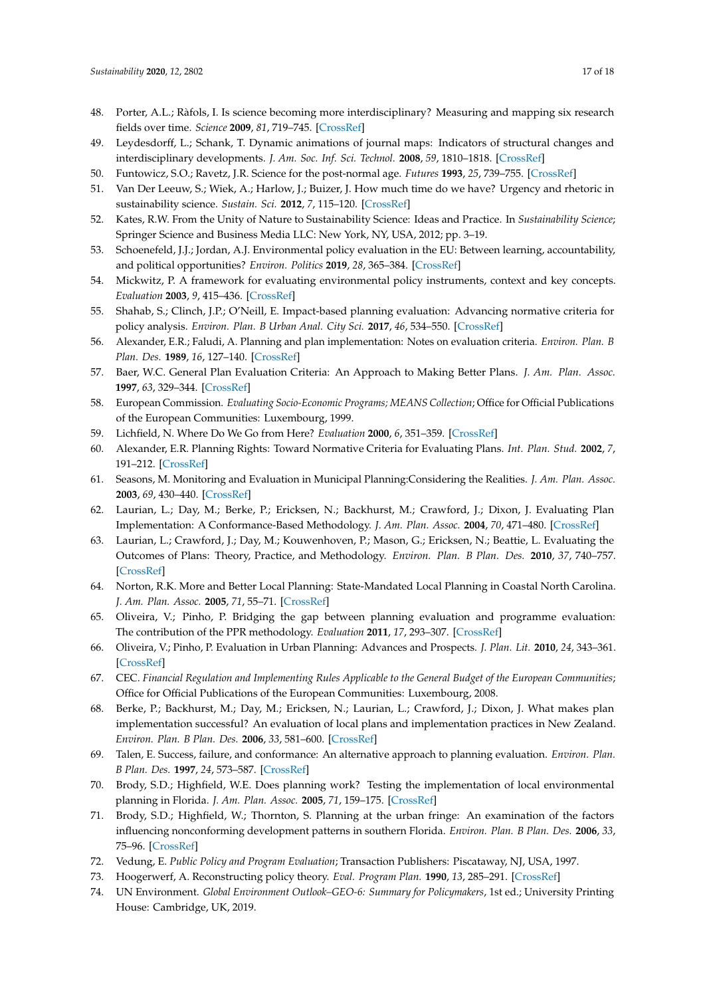- <span id="page-16-0"></span>48. Porter, A.L.; Ràfols, I. Is science becoming more interdisciplinary? Measuring and mapping six research fields over time. *Science* **2009**, *81*, 719–745. [\[CrossRef\]](http://dx.doi.org/10.1007/s11192-008-2197-2)
- <span id="page-16-1"></span>49. Leydesdorff, L.; Schank, T. Dynamic animations of journal maps: Indicators of structural changes and interdisciplinary developments. *J. Am. Soc. Inf. Sci. Technol.* **2008**, *59*, 1810–1818. [\[CrossRef\]](http://dx.doi.org/10.1002/asi.20891)
- <span id="page-16-2"></span>50. Funtowicz, S.O.; Ravetz, J.R. Science for the post-normal age. *Futures* **1993**, *25*, 739–755. [\[CrossRef\]](http://dx.doi.org/10.1016/0016-3287(93)90022-L)
- <span id="page-16-3"></span>51. Van Der Leeuw, S.; Wiek, A.; Harlow, J.; Buizer, J. How much time do we have? Urgency and rhetoric in sustainability science. *Sustain. Sci.* **2012**, *7*, 115–120. [\[CrossRef\]](http://dx.doi.org/10.1007/s11625-011-0153-1)
- <span id="page-16-4"></span>52. Kates, R.W. From the Unity of Nature to Sustainability Science: Ideas and Practice. In *Sustainability Science*; Springer Science and Business Media LLC: New York, NY, USA, 2012; pp. 3–19.
- <span id="page-16-5"></span>53. Schoenefeld, J.J.; Jordan, A.J. Environmental policy evaluation in the EU: Between learning, accountability, and political opportunities? *Environ. Politics* **2019**, *28*, 365–384. [\[CrossRef\]](http://dx.doi.org/10.1080/09644016.2019.1549782)
- <span id="page-16-6"></span>54. Mickwitz, P. A framework for evaluating environmental policy instruments, context and key concepts. *Evaluation* **2003**, *9*, 415–436. [\[CrossRef\]](http://dx.doi.org/10.1177/135638900300900404)
- <span id="page-16-7"></span>55. Shahab, S.; Clinch, J.P.; O'Neill, E. Impact-based planning evaluation: Advancing normative criteria for policy analysis. *Environ. Plan. B Urban Anal. City Sci.* **2017**, *46*, 534–550. [\[CrossRef\]](http://dx.doi.org/10.1177/2399808317720446)
- <span id="page-16-8"></span>56. Alexander, E.R.; Faludi, A. Planning and plan implementation: Notes on evaluation criteria. *Environ. Plan. B Plan. Des.* **1989**, *16*, 127–140. [\[CrossRef\]](http://dx.doi.org/10.1068/b160127)
- <span id="page-16-11"></span>57. Baer, W.C. General Plan Evaluation Criteria: An Approach to Making Better Plans. *J. Am. Plan. Assoc.* **1997**, *63*, 329–344. [\[CrossRef\]](http://dx.doi.org/10.1080/01944369708975926)
- 58. European Commission. *Evaluating Socio-Economic Programs; MEANS Collection*; Office for Official Publications of the European Communities: Luxembourg, 1999.
- 59. Lichfield, N. Where Do We Go from Here? *Evaluation* **2000**, *6*, 351–359. [\[CrossRef\]](http://dx.doi.org/10.1177/13563890022209334)
- 60. Alexander, E.R. Planning Rights: Toward Normative Criteria for Evaluating Plans. *Int. Plan. Stud.* **2002**, *7*, 191–212. [\[CrossRef\]](http://dx.doi.org/10.1080/1356347022000001871)
- 61. Seasons, M. Monitoring and Evaluation in Municipal Planning:Considering the Realities. *J. Am. Plan. Assoc.* **2003**, *69*, 430–440. [\[CrossRef\]](http://dx.doi.org/10.1080/01944360308976329)
- <span id="page-16-12"></span>62. Laurian, L.; Day, M.; Berke, P.; Ericksen, N.; Backhurst, M.; Crawford, J.; Dixon, J. Evaluating Plan Implementation: A Conformance-Based Methodology. *J. Am. Plan. Assoc.* **2004**, *70*, 471–480. [\[CrossRef\]](http://dx.doi.org/10.1080/01944360408976395)
- 63. Laurian, L.; Crawford, J.; Day, M.; Kouwenhoven, P.; Mason, G.; Ericksen, N.; Beattie, L. Evaluating the Outcomes of Plans: Theory, Practice, and Methodology. *Environ. Plan. B Plan. Des.* **2010**, *37*, 740–757. [\[CrossRef\]](http://dx.doi.org/10.1068/b35051)
- 64. Norton, R.K. More and Better Local Planning: State-Mandated Local Planning in Coastal North Carolina. *J. Am. Plan. Assoc.* **2005**, *71*, 55–71. [\[CrossRef\]](http://dx.doi.org/10.1080/01944360508976405)
- <span id="page-16-9"></span>65. Oliveira, V.; Pinho, P. Bridging the gap between planning evaluation and programme evaluation: The contribution of the PPR methodology. *Evaluation* **2011**, *17*, 293–307. [\[CrossRef\]](http://dx.doi.org/10.1177/1356389011411686)
- <span id="page-16-10"></span>66. Oliveira, V.; Pinho, P. Evaluation in Urban Planning: Advances and Prospects. *J. Plan. Lit.* **2010**, *24*, 343–361. [\[CrossRef\]](http://dx.doi.org/10.1177/0885412210364589)
- <span id="page-16-13"></span>67. CEC. *Financial Regulation and Implementing Rules Applicable to the General Budget of the European Communities*; Office for Official Publications of the European Communities: Luxembourg, 2008.
- 68. Berke, P.; Backhurst, M.; Day, M.; Ericksen, N.; Laurian, L.; Crawford, J.; Dixon, J. What makes plan implementation successful? An evaluation of local plans and implementation practices in New Zealand. *Environ. Plan. B Plan. Des.* **2006**, *33*, 581–600. [\[CrossRef\]](http://dx.doi.org/10.1068/b31166)
- 69. Talen, E. Success, failure, and conformance: An alternative approach to planning evaluation. *Environ. Plan. B Plan. Des.* **1997**, *24*, 573–587. [\[CrossRef\]](http://dx.doi.org/10.1068/b240573)
- 70. Brody, S.D.; Highfield, W.E. Does planning work? Testing the implementation of local environmental planning in Florida. *J. Am. Plan. Assoc.* **2005**, *71*, 159–175. [\[CrossRef\]](http://dx.doi.org/10.1080/01944360508976690)
- <span id="page-16-14"></span>71. Brody, S.D.; Highfield, W.; Thornton, S. Planning at the urban fringe: An examination of the factors influencing nonconforming development patterns in southern Florida. *Environ. Plan. B Plan. Des.* **2006**, *33*, 75–96. [\[CrossRef\]](http://dx.doi.org/10.1068/b31093)
- <span id="page-16-15"></span>72. Vedung, E. *Public Policy and Program Evaluation*; Transaction Publishers: Piscataway, NJ, USA, 1997.
- <span id="page-16-16"></span>73. Hoogerwerf, A. Reconstructing policy theory. *Eval. Program Plan.* **1990**, *13*, 285–291. [\[CrossRef\]](http://dx.doi.org/10.1016/0149-7189(90)90059-6)
- <span id="page-16-17"></span>74. UN Environment. *Global Environment Outlook–GEO-6: Summary for Policymakers*, 1st ed.; University Printing House: Cambridge, UK, 2019.